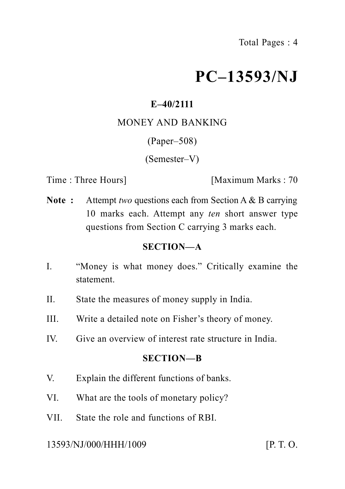# **PC–13593/NJ**

# **E–40/2111**

# MONEY AND BANKING

# (Paper–508)

# (Semester–V)

Time : Three Hours **I** [Maximum Marks : 70]

**Note :** Attempt *two* questions each from Section A & B carrying 10 marks each. Attempt any *ten* short answer type questions from Section C carrying 3 marks each.

### **SECTION—A**

- I. "Money is what money does." Critically examine the statement.
- II. State the measures of money supply in India.
- III. Write a detailed note on Fisher's theory of money.
- IV. Give an overview of interest rate structure in India.

#### **SECTION—B**

- V. Explain the different functions of banks.
- VI. What are the tools of monetary policy?
- VII. State the role and functions of RBI.

#### 13593/NJ/000/HHH/1009 [P. T. O.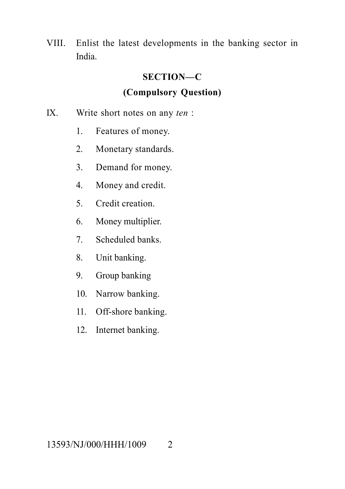VIII. Enlist the latest developments in the banking sector in India.

#### **SECTION—C**

### **(Compulsory Question)**

- IX. Write short notes on any *ten* :
	- 1. Features of money.
	- 2. Monetary standards.
	- 3. Demand for money.
	- 4. Money and credit.
	- 5. Credit creation.
	- 6. Money multiplier.
	- 7. Scheduled banks.
	- 8. Unit banking.
	- 9. Group banking
	- 10. Narrow banking.
	- 11. Off-shore banking.
	- 12. Internet banking.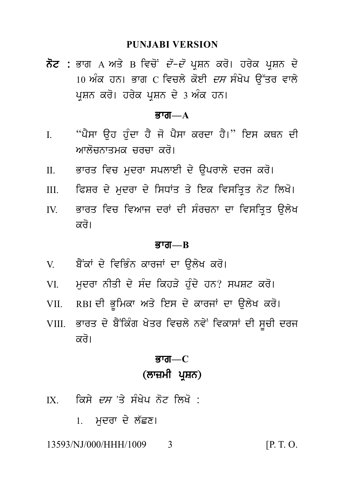#### **PUNJABI VERSION**

PUNJABI VERSION<br>ਨੋਟ : ਭਾਗ A ਅਤੇ B ਵਿਚੋਂ *ਦੋ–ਦੋ* ਪ੍ਰਸ਼ਨ ਕਰੋ। ਹਰੇਕ ਪ੍ਰਸ਼ਨ ਦੇ<br>10 ਅੰਕ ਹਨ। ਭਾਗ C ਵਿਚਲੇ ਕੋਈ *ਦਸ* ਸੰਖੇਪ ਉੱਤਰ ਵਾਲੇ<br>ਪੁਸ਼ਨ ਕਰੋ। ਹਰੇਕ ਪੁਸ਼ਨ ਦੇ 3 ਅੰਕ ਹਨ। PUNJABI VERSION<br>ਭਾਗ A ਅਤੇ B ਵਿਚੋਂ *ਦੋ–ਦੋ* ਪ੍ਰਸ਼ਨ ਕਰੋ। ਹਰੇਕ ਪ੍ਰਸ਼ਨ ਦੇ<br>10 ਅੰਕ ਹਨ। ਭਾਗ C ਵਿਚਲੇ ਕੋਈ *ਦਸ* ਸੰਖੇਪ ਉੱਤਰ ਵਾਲੇ<br>ਪ੍ਰਸ਼ਨ ਕਰੋ। ਹਰੇਕ ਪ੍ਰਸ਼ਨ ਦੇ 3 ਅੰਕ ਹਨ। ਨੋਟ : ਭਾਗ A ਅਤੇ B ਵਿਚੋਂ *ਦੋ–ਦੋ* ਪ੍ਰਸ਼ਨ ਕਰੋ। ਹਰੇਕ ਪ੍ਰਸ਼ਨ ਦੇ<br>10 ਅੰਕ ਹਨ। ਭਾਗ C ਵਿਚਲੇ ਕੋਈ *ਦਸ* ਸੰਖੇਪ ਉੱਤਰ ਵਾਲੇ<br>ਪਸ਼ਨ ਕਰੋ। ਹਰੇਕ ਪਸ਼ਨ ਦੇ 3 ਅੰਕ ਹਨ।

#### Bwg**—A**

- I. "p Ysw a uh h u Mdw h Y j o p Ysw krdw h Y[" ies kQn dI <sub>ਤ੍ਰਸ਼ਨ</sub>, <sub>ਕਾਰਾ</sub> ਤੁਹ<sub>ਤ</sub> <sub>ਤੁਸ਼ਨ</sub>, <sub>ਤੁਸ਼ਨ</sub>, ਤੁਨ<br>**ਭਾਗ—A**<br>"ਪੈਸਾ ਉਹ ਹੁੰਦਾ ਹੈ ਜੋ ਪੈਸਾ ਕਰਦਾ ਹੈ।" ਇਸ<br>ਆਲੋਚਨਾਤਮਕ ਚਰਚਾ ਕਰੋ।<br>ਭਾਰਤ ਵਿਚ ਮੁਦਰਾ ਸਪਲਾਈ ਦੇ ਉਪਰਾਲੇ ਦਰਜ ਕ I. "ਪੈਸਾ ਉਹ ਹੁੰਦਾ ਹੈ ਜੋ ਪੈਸਾ ਕਰਦਾ ਹੈ।" ਇਸ ਕਥਨ ਦੀ<br>ਅਾਲੋਚਨਾਤਮਕ ਚਰਚਾ ਕਰੋ।<br>II. ਭਾਰਤ ਵਿਚ ਮੁਦਰਾ ਸਪਲਾਈ ਦੇ ਉਪਰਾਲੇ ਦਰਜ ਕਰੋ।<br>III. ਫਿਸ਼ਰ ਦੇ ਮੁਦਰਾ ਦੇ ਸਿਧਾਂਤ ਤੇ ਇਕ ਵਿਸਤ੍ਰਿਤ ਨੋਟ ਲਿਖੋ।
- 
- 
- I<br>ਅਾਲੋਚਨਾਤਮਕ ਚਰਚਾ ਕਰੋ।<br>II. ਭਾਰਤ ਵਿਚ ਮੁਦਰਾ ਸਪਲਾਈ ਦੇ ਉਪਰਾਲੇ ਦਰਜ ਕਰੋ।<br>II. ਫਿਸ਼ਰ ਦੇ ਮੁਦਰਾ ਦੇ ਸਿਧਾਂਤ ਤੇ ਇਕ ਵਿਸਤ੍ਰਿਤ ਨੋਟ ਲਿਖੋ।<br>IV. ਭਾਰਤ ਵਿਚ ਵਿਆਜ ਦਰਾਂ ਦੀ ਸੰਰਚਨਾ ਦਾ ਵਿਸਤ੍ਰਿਤ ਉਲੇਖ II. ਭਾਰਤ ਵਿਚ ਮੁਦਰਾ ਸਪਲਾਈ ਦੇ ਉਪਰਾਲੇ ਦਰਜ ਕਰੋ।<br>III. ਫਿਸ਼ਰ ਦੇ ਮੁਦਰਾ ਦੇ ਸਿਧਾਂਤ ਤੇ ਇਕ ਵਿਸਤ੍ਰਿਤ ਨੋਟ ਲਿਖੋ।<br>IV. ਭਾਰਤ ਵਿਚ ਵਿਆਜ ਦਰਾਂ ਦੀ ਸੰਰਚਨਾ ਦਾ ਵਿਸਤ੍ਰਿਤ ਉਲੇਖ<br>ਕਰੋ। ਭਾਰਤ ਵਿਚ ਮੁਦਰਾ ਸਪਲਾਈ ਦੇ ਉਪਰਾਲੇ ਦਰਜ ਕਰੋ।<br>ਫਿਸ਼ਰ ਦੇ ਮੁਦਰਾ ਦੇ ਸਿਧਾਂਤ ਤੇ ਇਕ ਵਿਸਤ੍ਰਿਤ ਨੋਟ ਲਿਖੋ।<br>ਭਾਰਤ ਵਿਚ ਵਿਆਜ ਦਰਾਂ ਦੀ ਸੰਰਚਨਾ ਦਾ ਵਿਸਤ੍ਰਿਤ ਉਲੇਖ<br>ਕਰੋ।<br>**ਬੋ**ਂਕਾਂ ਦੇ ਵਿਭਿੰਨ ਕਾਰਜਾਂ ਦਾ ਉਲੇਖ ਕਰੋ।  $\vec{a}$  a via the vertex of the set of the set of the set of the set of  $\vec{b}$  and  $\vec{b}$  of  $\vec{b}$  and  $\vec{c}$  and  $\vec{c}$  and  $\vec{c}$  and  $\vec{c}$  and  $\vec{c}$  and  $\vec{c}$  and  $\vec{c}$  and  $\vec{c}$  and  $\vec{c}$  and  $\vec{$

#### <u>ਭਾਗ—B</u>

- 
- 
- **ਭਾਗ—B<br>Vi. ਬੈਂਕਾਂ** ਦੇ ਵਿਭਿੰਨ ਕਾਰਜਾਂ ਦਾ ਉਲੇਖ ਕਰੋ।<br>VI. ਮੁਦਰਾ ਨੀਤੀ ਦੇ ਸੰਦ ਕਿਹੜੇ ਹੁੰਦੇ ਹਨ? ਸਪਸ਼ਟ ਕਰੋ।<br>VII. RBI ਦੀ ਭੂਮਿਕਾ ਅਤੇ ਇਸ ਦੇ ਕਾਰਜਾਂ ਦਾ ਉਲੇਖ ਕਰੋ।
- V. ਬੈਂਕਾਂ ਦੇ ਵਿਭਿੰਨ ਕਾਰਜਾਂ ਦਾ ਉਲੇਖ ਕਰੋ।<br>VI. ਮੁਦਰਾ ਨੀਤੀ ਦੇ ਸੰਦ ਕਿਹੜੇ ਹੁੰਦੇ ਹਨ? ਸਪਸ਼ਟ ਕਰੋ।<br>VII. RBI ਦੀ ਭੂਮਿਕਾ ਅਤੇ ਇਸ ਦੇ ਕਾਰਜਾਂ ਦਾ ਉਲੇਖ ਕਰੋ।<br>VIII. ਭਾਰਤ ਦੇ ਬੈਂਕਿੰਗ ਖੇਤਰ ਵਿਚਲੇ ਨਵੇਂ ਵਿਕਾਸਾਂ ਦੀ ਸੂਚੀ ਦਰਜ VI. ਮੁਦਰਾ ਨੀਤੀ ਦੇ ਸੰਦ ਕਿਹੜੇ ਹੁੰਦੇ ਹਨ? ਸਪਸ਼ਟ ਕਰੋ।<br>VII. RBI ਦੀ ਭੂਮਿਕਾ ਅਤੇ ਇਸ ਦੇ ਕਾਰਜਾਂ ਦਾ ਉਲੇਖ ਕਰੋ।<br>VIII. ਭਾਰਤ ਦੇ ਬੈਂਕਿੰਗ ਖੇਤਰ ਵਿਚਲੇ ਨਵੇਂ ਵਿਕਾਸਾਂ ਦੀ ਸੂਚੀ ਦਰਜ<br>ਕਰੋ। ਮੁਦਰਾ ਨੀਤੀ ਦੇ ਸੰਦ ਕਿਹੜੇ ਹੁੰਦੇ ਹਨ? ਸਪਸ਼ਟ ਕਰੋ।<br>RBI ਦੀ ਭੂਮਿਕਾ ਅਤੇ ਇਸ ਦੇ ਕਾਰਜਾਂ ਦਾ ਉਲੇਖ ਕਰੋ।<br>ਭਾਰਤ ਦੇ ਬੈਂਕਿੰਗ ਖੇਤਰ ਵਿਚਲੇ ਨਵੇਂ ਵਿਕਾਸਾਂ ਦੀ ਸੂਚੀ ਦਰਜ<br>ਕਰੋ।<br>**ਭਾਗ—**C<br>(ਲਾਜ਼ਮੀ ਪੁਸ਼ਨ) ਖਤਰ ਵਿਚਲ ਨਵੀਂ ਵਿਕਾਸਾ ਦਾ ਸੂਚੀ<br>**ਭਾਗ—C**<br>(**ਲਾਜ਼ਮੀ ਪ੍ਰਸ਼ਨ)**<br>ਪਿ ਨੋਟ ਲਿਖੋ :

#### <u>ਭਾਗ—C</u>

**ਭਾਗ—** $C$ <br>(ਲਾਜ਼ਮੀ ਪ੍ਰਸ਼ਨ)<br>IX. ਕਿਸੇ *ਦਸ* 'ਤੇ ਸੰਖੇਪ ਨੋਟ ਲਿਖੋ :<br>1. ਮੁਦਰਾ ਦੇ ਲੱਛਣ। **(ਲਾਜ਼ਮੀ ਪ੍ਰਸ਼ਨ)**<br>ਕਿਸੇ *ਦਸ* 'ਤੇ ਸੰਖੇਪ ਨੋਟ ਲਿਖੋ :<br>1. ਮੁਦਰਾ ਦੇ ਲੱਛਣ।<br>NJ/000/HHH/1009 3

13593/NJ/000/HHH/1009 3 [P. T. O.